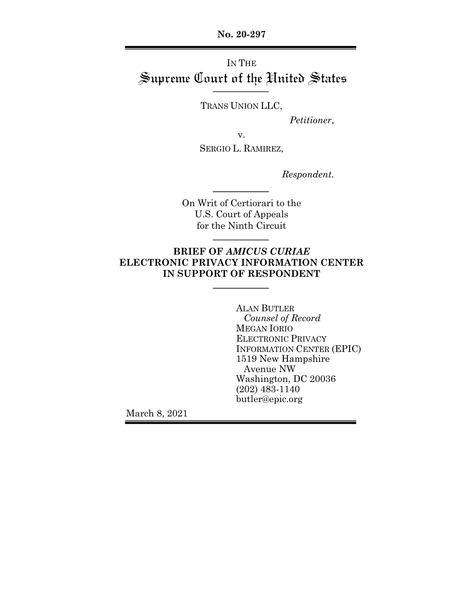**No. 20-297**

# IN THE Supreme Court of the United States

TRANS UNION LLC,

*Petitioner*,

v.

SERGIO L. RAMIREZ,

*Respondent.*

On Writ of Certiorari to the U.S. Court of Appeals for the Ninth Circuit

### **BRIEF OF** *AMICUS CURIAE* **ELECTRONIC PRIVACY INFORMATION CENTER IN SUPPORT OF RESPONDENT**

ALAN BUTLER *Counsel of Record* MEGAN IORIO ELECTRONIC PRIVACY INFORMATION CENTER (EPIC) 1519 New Hampshire Avenue NW Washington, DC 20036 (202) 483-1140 butler@epic.org

March 8, 2021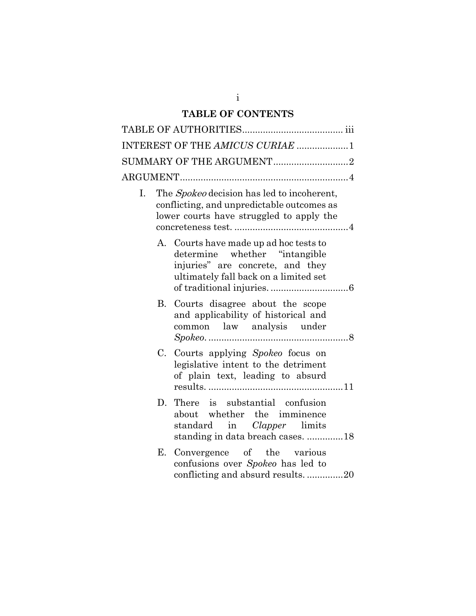# **TABLE OF CONTENTS**

|    |    | INTEREST OF THE AMICUS CURIAE 1                                                                                                                       |
|----|----|-------------------------------------------------------------------------------------------------------------------------------------------------------|
|    |    | SUMMARY OF THE ARGUMENT2                                                                                                                              |
|    |    |                                                                                                                                                       |
| Ι. |    | The <i>Spokeo</i> decision has led to incoherent,<br>conflicting, and unpredictable outcomes as<br>lower courts have struggled to apply the           |
|    |    | A. Courts have made up ad hoc tests to<br>determine whether "intangible"<br>injuries" are concrete, and they<br>ultimately fall back on a limited set |
|    | В. | Courts disagree about the scope<br>and applicability of historical and<br>common law analysis under                                                   |
|    |    | C. Courts applying Spokeo focus on<br>legislative intent to the detriment<br>of plain text, leading to absurd                                         |
|    |    | D. There is substantial confusion<br>about whether the imminence<br>standard in <i>Clapper</i> limits<br>standing in data breach cases. 18            |
|    | Е. | Convergence of the various<br>confusions over Spokeo has led to<br>conflicting and absurd results20                                                   |

i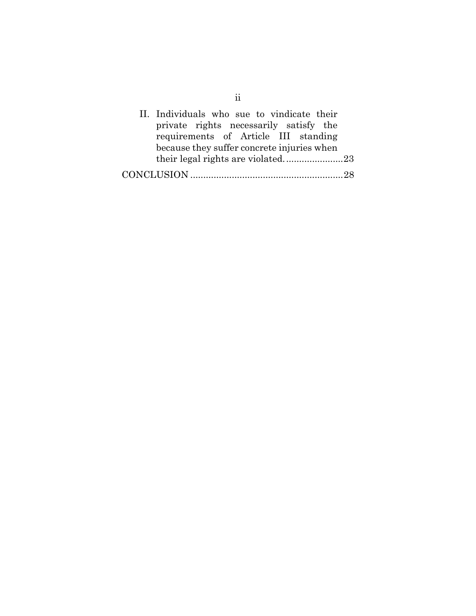| II. Individuals who sue to vindicate their<br>private rights necessarily satisfy the |  |
|--------------------------------------------------------------------------------------|--|
| requirements of Article III standing                                                 |  |
| because they suffer concrete injuries when                                           |  |
|                                                                                      |  |
|                                                                                      |  |

ii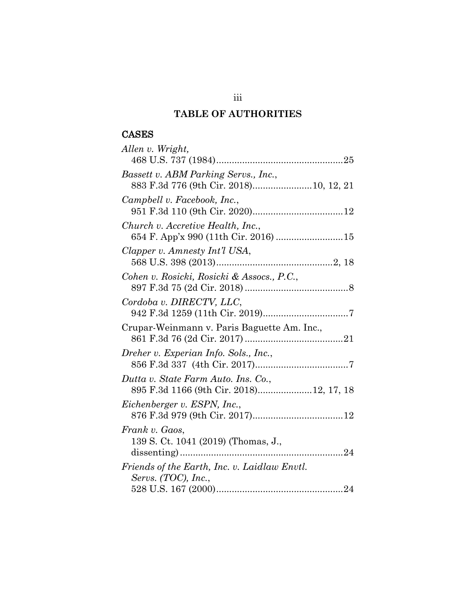# **TABLE OF AUTHORITIES**

# CASES

| Allen v. Wright,                                      |
|-------------------------------------------------------|
|                                                       |
| Bassett v. ABM Parking Servs., Inc.,                  |
| 883 F.3d 776 (9th Cir. 2018) 10, 12, 21               |
| Campbell v. Facebook, Inc.,                           |
|                                                       |
| Church v. Accretive Health, Inc.,                     |
| 654 F. App'x 990 (11th Cir. 2016)  15                 |
| Clapper v. Amnesty Int'l USA,                         |
| Cohen v. Rosicki, Rosicki & Assocs., P.C.,            |
|                                                       |
| Cordoba v. DIRECTV, LLC,                              |
|                                                       |
| Crupar-Weinmann v. Paris Baguette Am. Inc.,           |
|                                                       |
| Dreher v. Experian Info. Sols., Inc.,                 |
|                                                       |
| Dutta v. State Farm Auto. Ins. Co.,                   |
| 895 F.3d 1166 (9th Cir. 2018)12, 17, 18               |
| Eichenberger v. ESPN, Inc.,                           |
|                                                       |
| Frank v. Gaos,<br>139 S. Ct. 1041 (2019) (Thomas, J., |
|                                                       |
| Friends of the Earth, Inc. v. Laidlaw Envtl.          |
| Servs. (TOC), Inc.,                                   |
|                                                       |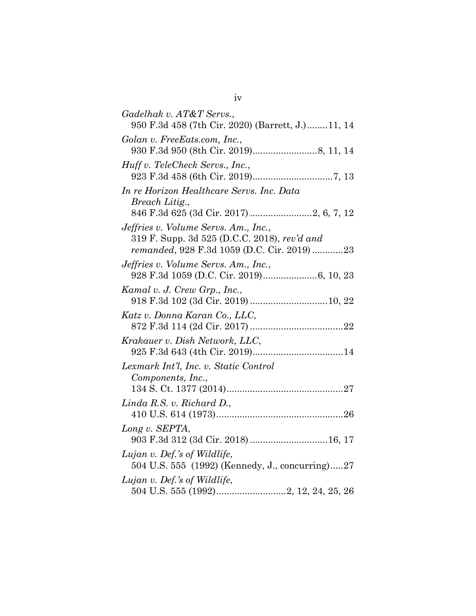| Gadelhak v. AT&T Servs.,                                                        |
|---------------------------------------------------------------------------------|
| 950 F.3d 458 (7th Cir. 2020) (Barrett, J.)11, 14                                |
| Golan v. FreeEats.com, Inc.,                                                    |
|                                                                                 |
| Huff v. TeleCheck Servs., Inc.,                                                 |
|                                                                                 |
| In re Horizon Healthcare Servs. Inc. Data                                       |
| Breach Litig.,                                                                  |
| Jeffries v. Volume Servs. Am., Inc.,                                            |
| 319 F. Supp. 3d 525 (D.C.C. 2018), rev'd and                                    |
| remanded, 928 F.3d 1059 (D.C. Cir. 2019) 23                                     |
| Jeffries v. Volume Servs. Am., Inc.,                                            |
|                                                                                 |
| Kamal v. J. Crew Grp., Inc.,                                                    |
| 918 F.3d 102 (3d Cir. 2019) 10, 22                                              |
| Katz v. Donna Karan Co., LLC,                                                   |
| Krakauer v. Dish Network, LLC,                                                  |
|                                                                                 |
| Lexmark Int'l, Inc. v. Static Control                                           |
| Components, Inc.,                                                               |
|                                                                                 |
| $Linda$ R.S. v. Richard D.,                                                     |
|                                                                                 |
| Long v. SEPTA,                                                                  |
| 903 F.3d 312 (3d Cir. 2018) 16, 17                                              |
| Lujan v. Def.'s of Wildlife,<br>504 U.S. 555 (1992) (Kennedy, J., concurring)27 |
| Lujan v. Def.'s of Wildlife,                                                    |
|                                                                                 |
|                                                                                 |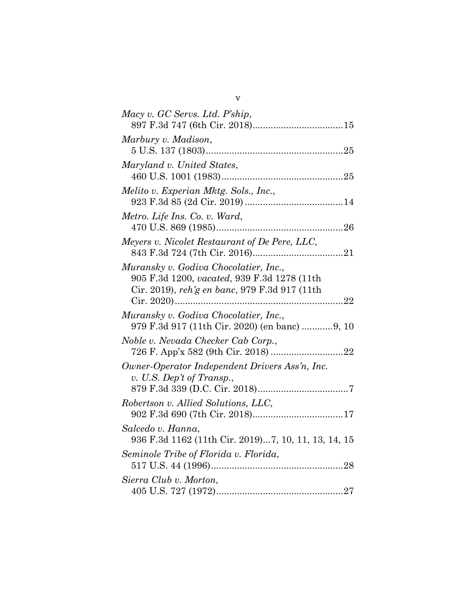| Macy v. GC Servs. Ltd. P'ship,                                                                                                        |
|---------------------------------------------------------------------------------------------------------------------------------------|
| Marbury v. Madison,                                                                                                                   |
| Maryland v. United States,                                                                                                            |
| Melito v. Experian Mktg. Sols., Inc.,                                                                                                 |
| Metro. Life Ins. Co. v. Ward,                                                                                                         |
| Meyers v. Nicolet Restaurant of De Pere, LLC,                                                                                         |
| Muransky v. Godiva Chocolatier, Inc.,<br>905 F.3d 1200, vacated, 939 F.3d 1278 (11th<br>Cir. 2019), reh'g en banc, 979 F.3d 917 (11th |
| Muransky v. Godiva Chocolatier, Inc.,<br>979 F.3d 917 (11th Cir. 2020) (en banc) 9, 10                                                |
| Noble v. Nevada Checker Cab Corp.,                                                                                                    |
| Owner-Operator Independent Drivers Ass'n, Inc.<br>v. U.S. Dep't of Transp.,                                                           |
| Robertson v. Allied Solutions, LLC,                                                                                                   |
| Salcedo v. Hanna,<br>936 F.3d 1162 (11th Cir. 2019)7, 10, 11, 13, 14, 15                                                              |
| Seminole Tribe of Florida v. Florida,                                                                                                 |
| Sierra Club v. Morton,                                                                                                                |

v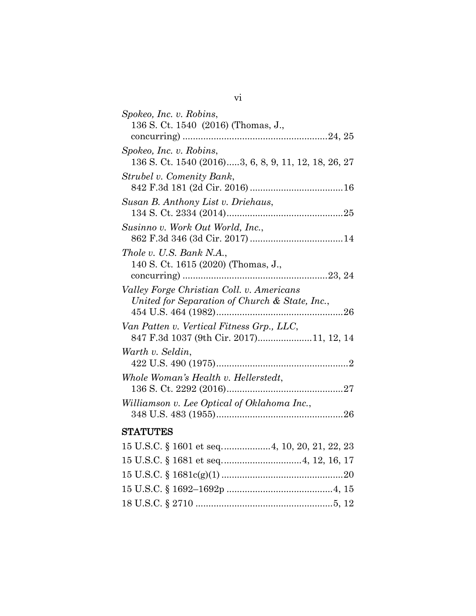| Spokeo, Inc. v. Robins,                              |
|------------------------------------------------------|
| 136 S. Ct. 1540 (2016) (Thomas, J.,                  |
|                                                      |
| Spokeo, Inc. v. Robins,                              |
| 136 S. Ct. 1540 (2016)3, 6, 8, 9, 11, 12, 18, 26, 27 |
| Strubel v. Comenity Bank,                            |
|                                                      |
| Susan B. Anthony List v. Driehaus,                   |
|                                                      |
| Susinno v. Work Out World, Inc.,                     |
|                                                      |
| Thole v. U.S. Bank N.A.,                             |
| 140 S. Ct. 1615 (2020) (Thomas, J.,                  |
|                                                      |
| Valley Forge Christian Coll. v. Americans            |
| United for Separation of Church & State, Inc.,       |
|                                                      |
| Van Patten v. Vertical Fitness Grp., LLC,            |
| 847 F.3d 1037 (9th Cir. 2017)11, 12, 14              |
| Warth v. Seldin,                                     |
|                                                      |
| Whole Woman's Health v. Hellerstedt,                 |
|                                                      |
| Williamson v. Lee Optical of Oklahoma Inc.,          |
|                                                      |
| <b>STATUTES</b>                                      |
| 15 U.S.C. § 1601 et seq4, 10, 20, 21, 22, 23         |
|                                                      |
|                                                      |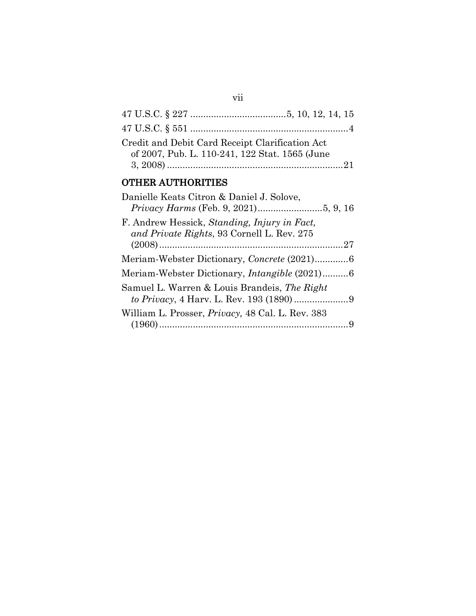| Credit and Debit Card Receipt Clarification Act<br>of 2007, Pub. L. 110-241, 122 Stat. 1565 (June |
|---------------------------------------------------------------------------------------------------|
| <b>OTHER AUTHORITIES</b>                                                                          |
| Danielle Keats Citron & Daniel J. Solove,                                                         |
|                                                                                                   |
| F. Andrew Hessick, Standing, Injury in Fact,<br>and Private Rights, 93 Cornell L. Rev. 275        |
|                                                                                                   |
| Meriam-Webster Dictionary, Concrete (2021)6                                                       |
| Meriam-Webster Dictionary, <i>Intangible</i> (2021)6                                              |
| Samuel L. Warren & Louis Brandeis, The Right                                                      |
|                                                                                                   |

| William L. Prosser, <i>Privacy</i> , 48 Cal. L. Rev. 383 |  |
|----------------------------------------------------------|--|
|                                                          |  |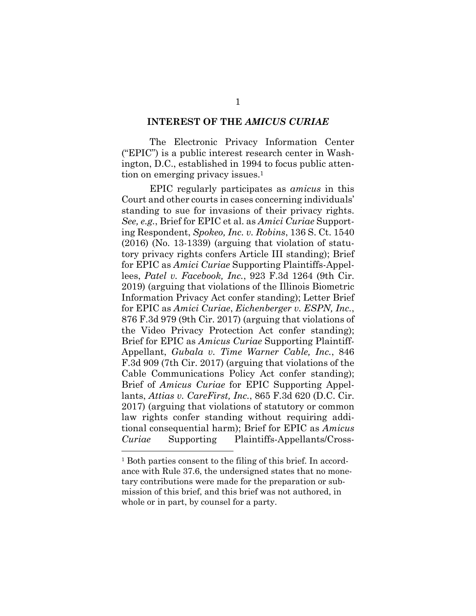#### **INTEREST OF THE** *AMICUS CURIAE*

The Electronic Privacy Information Center ("EPIC") is a public interest research center in Washington, D.C., established in 1994 to focus public attention on emerging privacy issues.<sup>1</sup>

EPIC regularly participates as *amicus* in this Court and other courts in cases concerning individuals' standing to sue for invasions of their privacy rights. *See, e.g.*, Brief for EPIC et al. as *Amici Curiae* Supporting Respondent, *Spokeo, Inc. v. Robins*, 136 S. Ct. 1540 (2016) (No. 13-1339) (arguing that violation of statutory privacy rights confers Article III standing); Brief for EPIC as *Amici Curiae* Supporting Plaintiffs-Appellees, *Patel v. Facebook, Inc.*, 923 F.3d 1264 (9th Cir. 2019) (arguing that violations of the Illinois Biometric Information Privacy Act confer standing); Letter Brief for EPIC as *Amici Curiae*, *Eichenberger v. ESPN, Inc.*, 876 F.3d 979 (9th Cir. 2017) (arguing that violations of the Video Privacy Protection Act confer standing); Brief for EPIC as *Amicus Curiae* Supporting Plaintiff-Appellant, *Gubala v. Time Warner Cable, Inc.*, 846 F.3d 909 (7th Cir. 2017) (arguing that violations of the Cable Communications Policy Act confer standing); Brief of *Amicus Curiae* for EPIC Supporting Appellants, *Attias v. CareFirst, Inc.*, 865 F.3d 620 (D.C. Cir. 2017) (arguing that violations of statutory or common law rights confer standing without requiring additional consequential harm); Brief for EPIC as *Amicus Curiae* Supporting Plaintiffs-Appellants/Cross-

<sup>&</sup>lt;sup>1</sup> Both parties consent to the filing of this brief. In accordance with Rule 37.6, the undersigned states that no monetary contributions were made for the preparation or submission of this brief, and this brief was not authored, in whole or in part, by counsel for a party.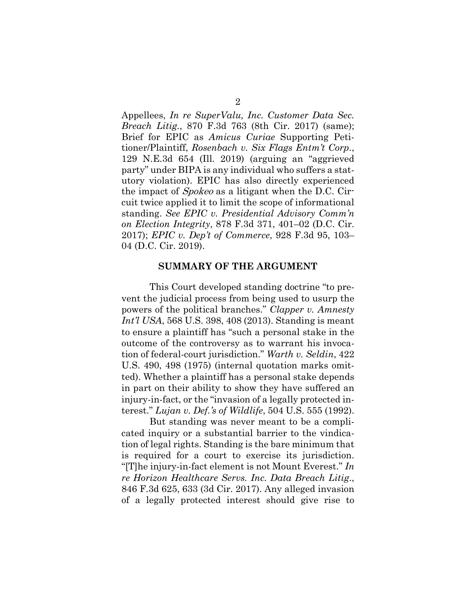Appellees, *In re SuperValu, Inc. Customer Data Sec. Breach Litig.*, 870 F.3d 763 (8th Cir. 2017) (same); Brief for EPIC as *Amicus Curiae* Supporting Petitioner/Plaintiff, *Rosenbach v. Six Flags Entm't Corp.*, 129 N.E.3d 654 (Ill. 2019) (arguing an "aggrieved party" under BIPA is any individual who suffers a statutory violation). EPIC has also directly experienced the impact of Spokeo as a litigant when the D.C. Circuit twice applied it to limit the scope of informational standing. *See EPIC v. Presidential Advisory Comm'n on Election Integrity*, 878 F.3d 371, 401–02 (D.C. Cir. 2017); *EPIC v. Dep't of Commerce*, 928 F.3d 95, 103– 04 (D.C. Cir. 2019).

#### **SUMMARY OF THE ARGUMENT**

This Court developed standing doctrine "to prevent the judicial process from being used to usurp the powers of the political branches." *Clapper v. Amnesty Int'l USA*, 568 U.S. 398, 408 (2013). Standing is meant to ensure a plaintiff has "such a personal stake in the outcome of the controversy as to warrant his invocation of federal-court jurisdiction." *Warth v. Seldin*, 422 U.S. 490, 498 (1975) (internal quotation marks omitted). Whether a plaintiff has a personal stake depends in part on their ability to show they have suffered an injury-in-fact, or the "invasion of a legally protected interest." *Lujan v. Def.'s of Wildlife*, 504 U.S. 555 (1992).

But standing was never meant to be a complicated inquiry or a substantial barrier to the vindication of legal rights. Standing is the bare minimum that is required for a court to exercise its jurisdiction. "[T]he injury-in-fact element is not Mount Everest." *In re Horizon Healthcare Servs. Inc. Data Breach Litig*., 846 F.3d 625, 633 (3d Cir. 2017). Any alleged invasion of a legally protected interest should give rise to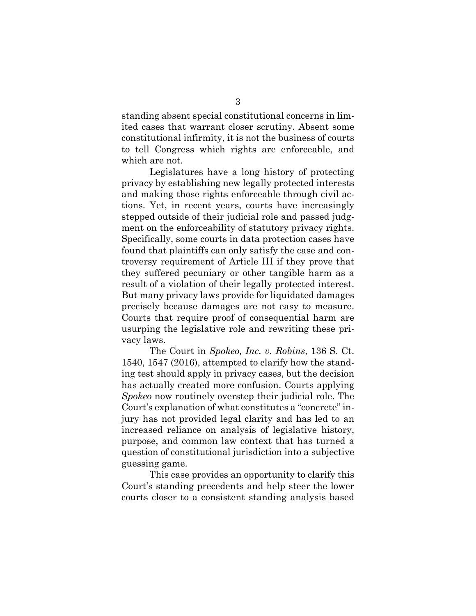standing absent special constitutional concerns in limited cases that warrant closer scrutiny. Absent some constitutional infirmity, it is not the business of courts to tell Congress which rights are enforceable, and which are not.

Legislatures have a long history of protecting privacy by establishing new legally protected interests and making those rights enforceable through civil actions. Yet, in recent years, courts have increasingly stepped outside of their judicial role and passed judgment on the enforceability of statutory privacy rights. Specifically, some courts in data protection cases have found that plaintiffs can only satisfy the case and controversy requirement of Article III if they prove that they suffered pecuniary or other tangible harm as a result of a violation of their legally protected interest. But many privacy laws provide for liquidated damages precisely because damages are not easy to measure. Courts that require proof of consequential harm are usurping the legislative role and rewriting these privacy laws.

The Court in *Spokeo, Inc. v. Robins*, 136 S. Ct. 1540, 1547 (2016), attempted to clarify how the standing test should apply in privacy cases, but the decision has actually created more confusion. Courts applying *Spokeo* now routinely overstep their judicial role. The Court's explanation of what constitutes a "concrete" injury has not provided legal clarity and has led to an increased reliance on analysis of legislative history, purpose, and common law context that has turned a question of constitutional jurisdiction into a subjective guessing game.

This case provides an opportunity to clarify this Court's standing precedents and help steer the lower courts closer to a consistent standing analysis based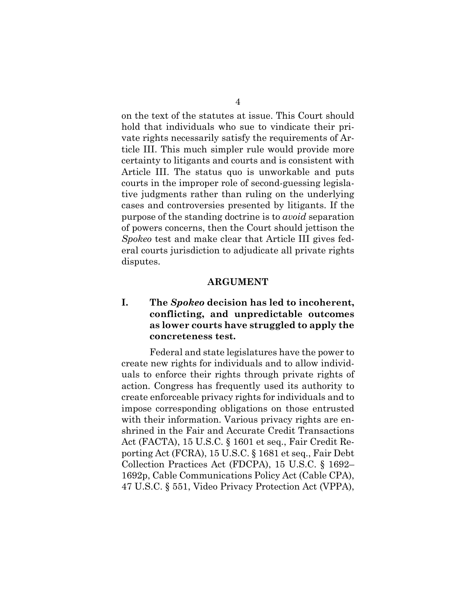on the text of the statutes at issue. This Court should hold that individuals who sue to vindicate their private rights necessarily satisfy the requirements of Article III. This much simpler rule would provide more certainty to litigants and courts and is consistent with Article III. The status quo is unworkable and puts courts in the improper role of second-guessing legislative judgments rather than ruling on the underlying cases and controversies presented by litigants. If the purpose of the standing doctrine is to *avoid* separation of powers concerns, then the Court should jettison the *Spokeo* test and make clear that Article III gives federal courts jurisdiction to adjudicate all private rights disputes.

#### **ARGUMENT**

## **I. The** *Spokeo* **decision has led to incoherent, conflicting, and unpredictable outcomes as lower courts have struggled to apply the concreteness test.**

Federal and state legislatures have the power to create new rights for individuals and to allow individuals to enforce their rights through private rights of action. Congress has frequently used its authority to create enforceable privacy rights for individuals and to impose corresponding obligations on those entrusted with their information. Various privacy rights are enshrined in the Fair and Accurate Credit Transactions Act (FACTA), 15 U.S.C. § 1601 et seq., Fair Credit Reporting Act (FCRA), 15 U.S.C. § 1681 et seq., Fair Debt Collection Practices Act (FDCPA), 15 U.S.C. § 1692– 1692p, Cable Communications Policy Act (Cable CPA), 47 U.S.C. § 551, Video Privacy Protection Act (VPPA),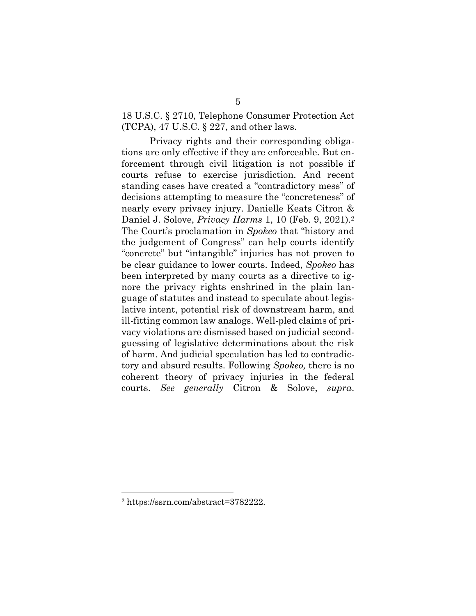18 U.S.C. § 2710, Telephone Consumer Protection Act (TCPA), 47 U.S.C. § 227, and other laws.

Privacy rights and their corresponding obligations are only effective if they are enforceable. But enforcement through civil litigation is not possible if courts refuse to exercise jurisdiction. And recent standing cases have created a "contradictory mess" of decisions attempting to measure the "concreteness" of nearly every privacy injury. Danielle Keats Citron & Daniel J. Solove, *Privacy Harms* 1, 10 (Feb. 9, 2021).<sup>2</sup> The Court's proclamation in *Spokeo* that "history and the judgement of Congress" can help courts identify "concrete" but "intangible" injuries has not proven to be clear guidance to lower courts. Indeed, *Spokeo* has been interpreted by many courts as a directive to ignore the privacy rights enshrined in the plain language of statutes and instead to speculate about legislative intent, potential risk of downstream harm, and ill-fitting common law analogs. Well-pled claims of privacy violations are dismissed based on judicial secondguessing of legislative determinations about the risk of harm. And judicial speculation has led to contradictory and absurd results. Following *Spokeo,* there is no coherent theory of privacy injuries in the federal courts. *See generally* Citron & Solove, *supra*.

<sup>2</sup> https://ssrn.com/abstract=3782222.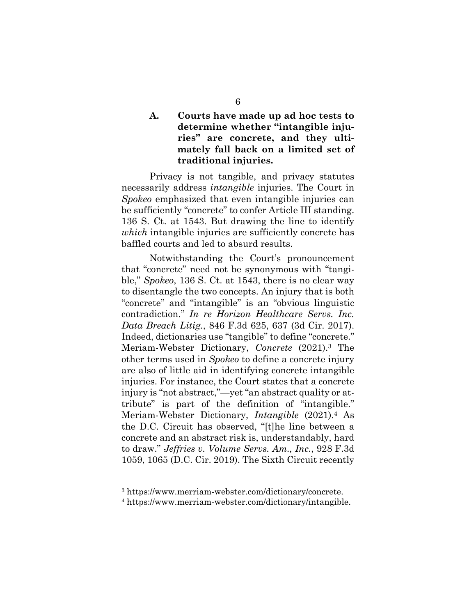### **A. Courts have made up ad hoc tests to determine whether "intangible injuries" are concrete, and they ultimately fall back on a limited set of traditional injuries.**

Privacy is not tangible, and privacy statutes necessarily address *intangible* injuries. The Court in *Spokeo* emphasized that even intangible injuries can be sufficiently "concrete" to confer Article III standing. 136 S. Ct. at 1543. But drawing the line to identify *which* intangible injuries are sufficiently concrete has baffled courts and led to absurd results.

Notwithstanding the Court's pronouncement that "concrete" need not be synonymous with "tangible," *Spokeo*, 136 S. Ct. at 1543, there is no clear way to disentangle the two concepts. An injury that is both "concrete" and "intangible" is an "obvious linguistic contradiction." *In re Horizon Healthcare Servs. Inc. Data Breach Litig.*, 846 F.3d 625, 637 (3d Cir. 2017). Indeed, dictionaries use "tangible" to define "concrete." Meriam-Webster Dictionary, *Concrete* (2021).3 The other terms used in *Spokeo* to define a concrete injury are also of little aid in identifying concrete intangible injuries. For instance, the Court states that a concrete injury is "not abstract,"—yet "an abstract quality or attribute" is part of the definition of "intangible." Meriam-Webster Dictionary, *Intangible* (2021).4 As the D.C. Circuit has observed, "[t]he line between a concrete and an abstract risk is, understandably, hard to draw." *Jeffries v. Volume Servs. Am., Inc.*, 928 F.3d 1059, 1065 (D.C. Cir. 2019). The Sixth Circuit recently

<sup>3</sup> https://www.merriam-webster.com/dictionary/concrete.

<sup>4</sup> https://www.merriam-webster.com/dictionary/intangible.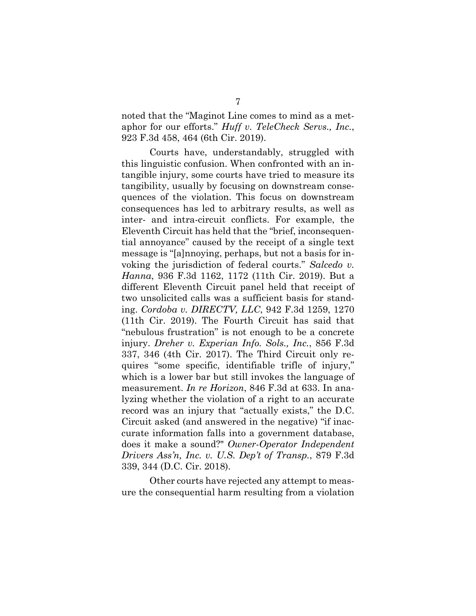noted that the "Maginot Line comes to mind as a metaphor for our efforts." *Huff v. TeleCheck Servs., Inc.*, 923 F.3d 458, 464 (6th Cir. 2019).

Courts have, understandably, struggled with this linguistic confusion. When confronted with an intangible injury, some courts have tried to measure its tangibility, usually by focusing on downstream consequences of the violation. This focus on downstream consequences has led to arbitrary results, as well as inter- and intra-circuit conflicts. For example, the Eleventh Circuit has held that the "brief, inconsequential annoyance" caused by the receipt of a single text message is "[a]nnoying, perhaps, but not a basis for invoking the jurisdiction of federal courts." *Salcedo v. Hanna*, 936 F.3d 1162, 1172 (11th Cir. 2019). But a different Eleventh Circuit panel held that receipt of two unsolicited calls was a sufficient basis for standing. *Cordoba v. DIRECTV, LLC*, 942 F.3d 1259, 1270 (11th Cir. 2019). The Fourth Circuit has said that "nebulous frustration" is not enough to be a concrete injury. *Dreher v. Experian Info. Sols., Inc.*, 856 F.3d 337, 346 (4th Cir. 2017). The Third Circuit only requires "some specific, identifiable trifle of injury," which is a lower bar but still invokes the language of measurement. *In re Horizon*, 846 F.3d at 633. In analyzing whether the violation of a right to an accurate record was an injury that "actually exists," the D.C. Circuit asked (and answered in the negative) "if inaccurate information falls into a government database, does it make a sound?" *Owner-Operator Independent Drivers Ass'n, Inc. v. U.S. Dep't of Transp.*, 879 F.3d 339, 344 (D.C. Cir. 2018).

Other courts have rejected any attempt to measure the consequential harm resulting from a violation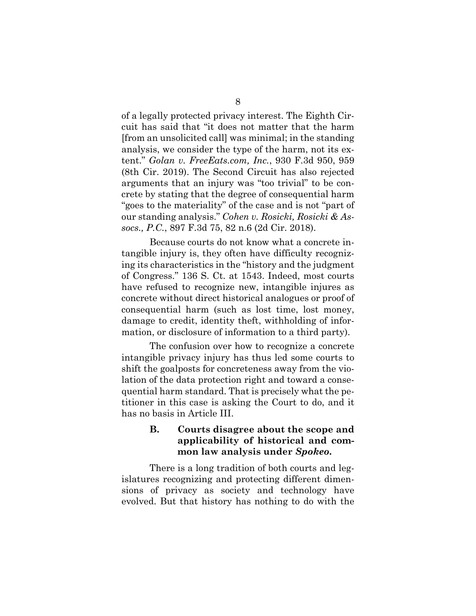of a legally protected privacy interest. The Eighth Circuit has said that "it does not matter that the harm [from an unsolicited call] was minimal; in the standing analysis, we consider the type of the harm, not its extent." *Golan v. FreeEats.com, Inc.*, 930 F.3d 950, 959 (8th Cir. 2019). The Second Circuit has also rejected arguments that an injury was "too trivial" to be concrete by stating that the degree of consequential harm "goes to the materiality" of the case and is not "part of our standing analysis." *Cohen v. Rosicki, Rosicki & Assocs., P.C.*, 897 F.3d 75, 82 n.6 (2d Cir. 2018).

Because courts do not know what a concrete intangible injury is, they often have difficulty recognizing its characteristics in the "history and the judgment of Congress." 136 S. Ct. at 1543. Indeed, most courts have refused to recognize new, intangible injures as concrete without direct historical analogues or proof of consequential harm (such as lost time, lost money, damage to credit, identity theft, withholding of information, or disclosure of information to a third party).

The confusion over how to recognize a concrete intangible privacy injury has thus led some courts to shift the goalposts for concreteness away from the violation of the data protection right and toward a consequential harm standard. That is precisely what the petitioner in this case is asking the Court to do, and it has no basis in Article III.

### **B. Courts disagree about the scope and applicability of historical and common law analysis under** *Spokeo***.**

There is a long tradition of both courts and legislatures recognizing and protecting different dimensions of privacy as society and technology have evolved. But that history has nothing to do with the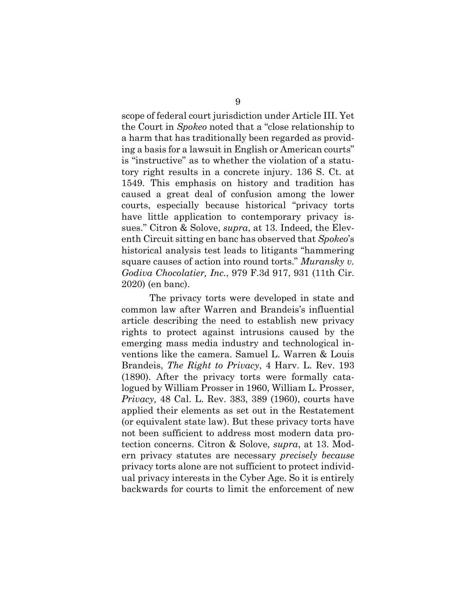scope of federal court jurisdiction under Article III. Yet the Court in *Spokeo* noted that a "close relationship to a harm that has traditionally been regarded as providing a basis for a lawsuit in English or American courts" is "instructive" as to whether the violation of a statutory right results in a concrete injury. 136 S. Ct. at 1549. This emphasis on history and tradition has caused a great deal of confusion among the lower courts, especially because historical "privacy torts have little application to contemporary privacy issues." Citron & Solove, *supra*, at 13. Indeed, the Eleventh Circuit sitting en banc has observed that *Spokeo*'s historical analysis test leads to litigants "hammering square causes of action into round torts." *Muransky v. Godiva Chocolatier, Inc.*, 979 F.3d 917, 931 (11th Cir. 2020) (en banc).

The privacy torts were developed in state and common law after Warren and Brandeis's influential article describing the need to establish new privacy rights to protect against intrusions caused by the emerging mass media industry and technological inventions like the camera. Samuel L. Warren & Louis Brandeis, *The Right to Privacy*, 4 Harv. L. Rev. 193 (1890). After the privacy torts were formally catalogued by William Prosser in 1960, William L. Prosser, *Privacy,* 48 Cal. L. Rev. 383, 389 (1960), courts have applied their elements as set out in the Restatement (or equivalent state law). But these privacy torts have not been sufficient to address most modern data protection concerns. Citron & Solove, *supra*, at 13. Modern privacy statutes are necessary *precisely because* privacy torts alone are not sufficient to protect individual privacy interests in the Cyber Age. So it is entirely backwards for courts to limit the enforcement of new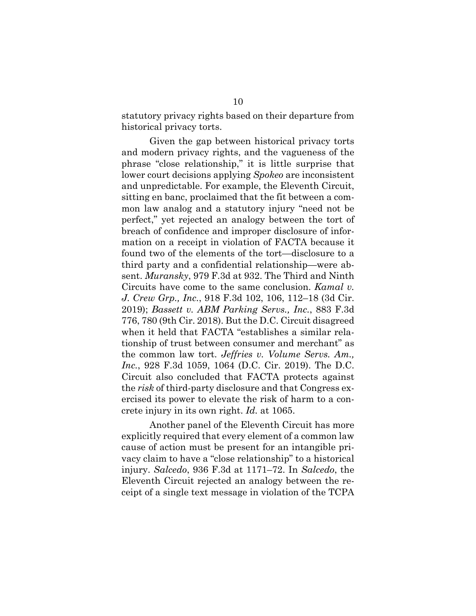statutory privacy rights based on their departure from historical privacy torts.

Given the gap between historical privacy torts and modern privacy rights, and the vagueness of the phrase "close relationship," it is little surprise that lower court decisions applying *Spokeo* are inconsistent and unpredictable. For example, the Eleventh Circuit, sitting en banc, proclaimed that the fit between a common law analog and a statutory injury "need not be perfect," yet rejected an analogy between the tort of breach of confidence and improper disclosure of information on a receipt in violation of FACTA because it found two of the elements of the tort—disclosure to a third party and a confidential relationship—were absent. *Muransky*, 979 F.3d at 932. The Third and Ninth Circuits have come to the same conclusion. *Kamal v. J. Crew Grp., Inc.*, 918 F.3d 102, 106, 112–18 (3d Cir. 2019); *Bassett v. ABM Parking Servs., Inc.*, 883 F.3d 776, 780 (9th Cir. 2018). But the D.C. Circuit disagreed when it held that FACTA "establishes a similar relationship of trust between consumer and merchant" as the common law tort. *Jeffries v. Volume Servs. Am., Inc.*, 928 F.3d 1059, 1064 (D.C. Cir. 2019). The D.C. Circuit also concluded that FACTA protects against the *risk* of third-party disclosure and that Congress exercised its power to elevate the risk of harm to a concrete injury in its own right. *Id.* at 1065.

Another panel of the Eleventh Circuit has more explicitly required that every element of a common law cause of action must be present for an intangible privacy claim to have a "close relationship" to a historical injury. *Salcedo*, 936 F.3d at 1171–72. In *Salcedo*, the Eleventh Circuit rejected an analogy between the receipt of a single text message in violation of the TCPA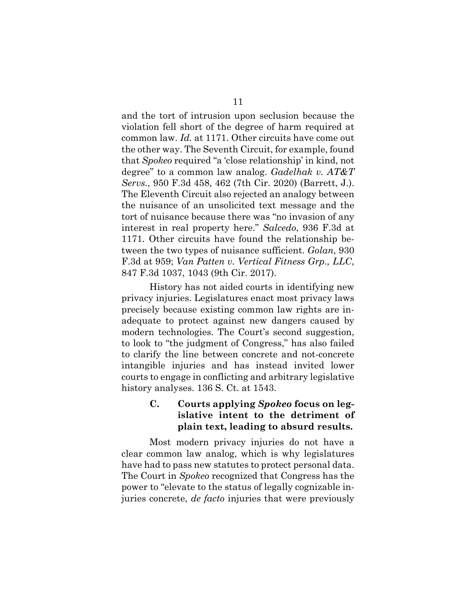and the tort of intrusion upon seclusion because the violation fell short of the degree of harm required at common law. *Id.* at 1171. Other circuits have come out the other way. The Seventh Circuit, for example, found that *Spokeo* required "a 'close relationship' in kind, not degree" to a common law analog. *Gadelhak v. AT&T Servs.*, 950 F.3d 458, 462 (7th Cir. 2020) (Barrett, J.). The Eleventh Circuit also rejected an analogy between the nuisance of an unsolicited text message and the tort of nuisance because there was "no invasion of any interest in real property here." *Salcedo*, 936 F.3d at 1171. Other circuits have found the relationship between the two types of nuisance sufficient. *Golan*, 930 F.3d at 959; *Van Patten v. Vertical Fitness Grp., LLC*, 847 F.3d 1037, 1043 (9th Cir. 2017).

History has not aided courts in identifying new privacy injuries. Legislatures enact most privacy laws precisely because existing common law rights are inadequate to protect against new dangers caused by modern technologies. The Court's second suggestion, to look to "the judgment of Congress," has also failed to clarify the line between concrete and not-concrete intangible injuries and has instead invited lower courts to engage in conflicting and arbitrary legislative history analyses. 136 S. Ct. at 1543.

## **C. Courts applying** *Spokeo* **focus on legislative intent to the detriment of plain text, leading to absurd results.**

Most modern privacy injuries do not have a clear common law analog, which is why legislatures have had to pass new statutes to protect personal data. The Court in *Spokeo* recognized that Congress has the power to "elevate to the status of legally cognizable injuries concrete, *de facto* injuries that were previously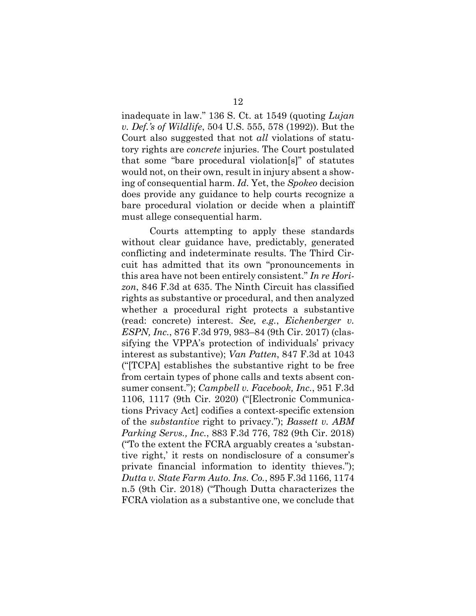inadequate in law." 136 S. Ct. at 1549 (quoting *Lujan v. Def.'s of Wildlife*, 504 U.S. 555, 578 (1992)). But the Court also suggested that not *all* violations of statutory rights are *concrete* injuries. The Court postulated that some "bare procedural violation[s]" of statutes would not, on their own, result in injury absent a showing of consequential harm. *Id.* Yet, the *Spokeo* decision does provide any guidance to help courts recognize a bare procedural violation or decide when a plaintiff must allege consequential harm.

Courts attempting to apply these standards without clear guidance have, predictably, generated conflicting and indeterminate results. The Third Circuit has admitted that its own "pronouncements in this area have not been entirely consistent." *In re Horizon*, 846 F.3d at 635. The Ninth Circuit has classified rights as substantive or procedural, and then analyzed whether a procedural right protects a substantive (read: concrete) interest. *See, e.g.*, *Eichenberger v. ESPN, Inc.*, 876 F.3d 979, 983–84 (9th Cir. 2017) (classifying the VPPA's protection of individuals' privacy interest as substantive); *Van Patten*, 847 F.3d at 1043 ("[TCPA] establishes the substantive right to be free from certain types of phone calls and texts absent consumer consent."); *Campbell v. Facebook, Inc.*, 951 F.3d 1106, 1117 (9th Cir. 2020) ("[Electronic Communications Privacy Act] codifies a context-specific extension of the *substantive* right to privacy."); *Bassett v. ABM Parking Servs., Inc.*, 883 F.3d 776, 782 (9th Cir. 2018) ("To the extent the FCRA arguably creates a 'substantive right,' it rests on nondisclosure of a consumer's private financial information to identity thieves."); *Dutta v. State Farm Auto. Ins. Co.*, 895 F.3d 1166, 1174 n.5 (9th Cir. 2018) ("Though Dutta characterizes the FCRA violation as a substantive one, we conclude that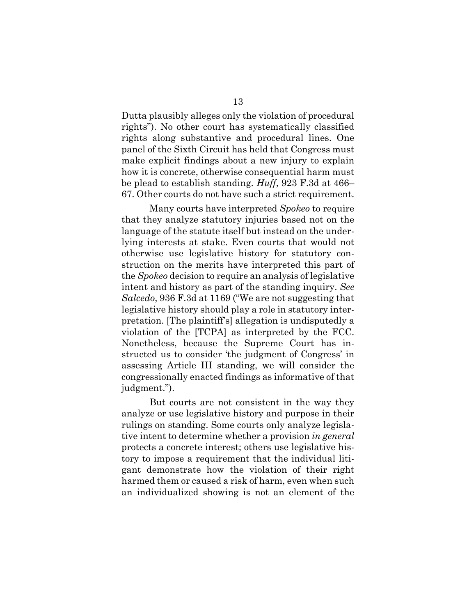Dutta plausibly alleges only the violation of procedural rights"). No other court has systematically classified rights along substantive and procedural lines. One panel of the Sixth Circuit has held that Congress must make explicit findings about a new injury to explain how it is concrete, otherwise consequential harm must be plead to establish standing. *Huff*, 923 F.3d at 466– 67. Other courts do not have such a strict requirement.

Many courts have interpreted *Spokeo* to require that they analyze statutory injuries based not on the language of the statute itself but instead on the underlying interests at stake. Even courts that would not otherwise use legislative history for statutory construction on the merits have interpreted this part of the *Spokeo* decision to require an analysis of legislative intent and history as part of the standing inquiry. *See Salcedo*, 936 F.3d at 1169 ("We are not suggesting that legislative history should play a role in statutory interpretation. [The plaintiff's] allegation is undisputedly a violation of the [TCPA] as interpreted by the FCC. Nonetheless, because the Supreme Court has instructed us to consider 'the judgment of Congress' in assessing Article III standing, we will consider the congressionally enacted findings as informative of that judgment.").

But courts are not consistent in the way they analyze or use legislative history and purpose in their rulings on standing. Some courts only analyze legislative intent to determine whether a provision *in general* protects a concrete interest; others use legislative history to impose a requirement that the individual litigant demonstrate how the violation of their right harmed them or caused a risk of harm, even when such an individualized showing is not an element of the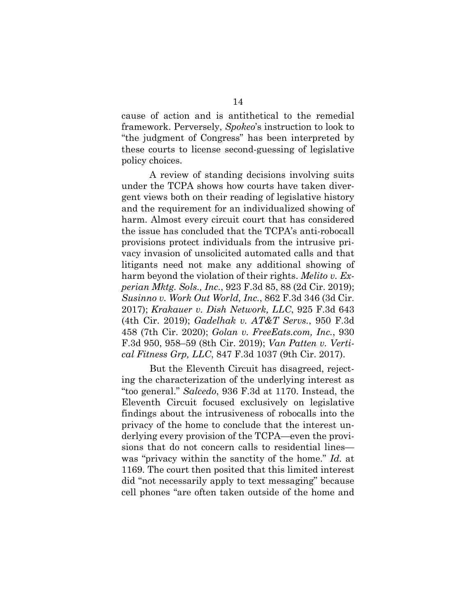cause of action and is antithetical to the remedial framework. Perversely, *Spokeo*'s instruction to look to "the judgment of Congress" has been interpreted by these courts to license second-guessing of legislative policy choices.

A review of standing decisions involving suits under the TCPA shows how courts have taken divergent views both on their reading of legislative history and the requirement for an individualized showing of harm. Almost every circuit court that has considered the issue has concluded that the TCPA's anti-robocall provisions protect individuals from the intrusive privacy invasion of unsolicited automated calls and that litigants need not make any additional showing of harm beyond the violation of their rights. *Melito v. Experian Mktg. Sols., Inc.*, 923 F.3d 85, 88 (2d Cir. 2019); *Susinno v. Work Out World, Inc.*, 862 F.3d 346 (3d Cir. 2017); *Krakauer v. Dish Network, LLC*, 925 F.3d 643 (4th Cir. 2019); *Gadelhak v. AT&T Servs.*, 950 F.3d 458 (7th Cir. 2020); *Golan v. FreeEats.com, Inc.*, 930 F.3d 950, 958–59 (8th Cir. 2019); *Van Patten v. Vertical Fitness Grp, LLC*, 847 F.3d 1037 (9th Cir. 2017).

But the Eleventh Circuit has disagreed, rejecting the characterization of the underlying interest as "too general." *Salcedo*, 936 F.3d at 1170. Instead, the Eleventh Circuit focused exclusively on legislative findings about the intrusiveness of robocalls into the privacy of the home to conclude that the interest underlying every provision of the TCPA—even the provisions that do not concern calls to residential lines was "privacy within the sanctity of the home." *Id.* at 1169. The court then posited that this limited interest did "not necessarily apply to text messaging" because cell phones "are often taken outside of the home and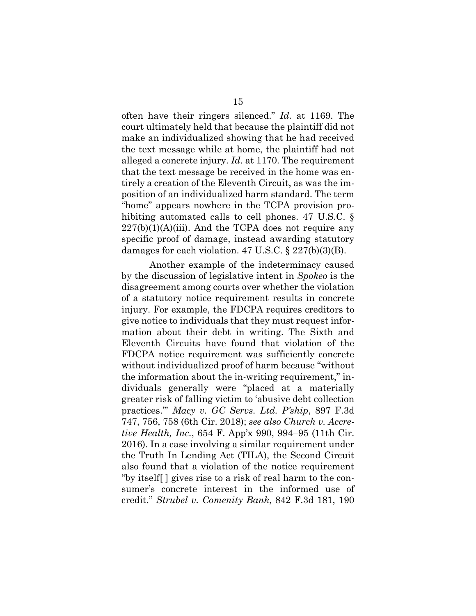often have their ringers silenced." *Id.* at 1169. The court ultimately held that because the plaintiff did not make an individualized showing that he had received the text message while at home, the plaintiff had not alleged a concrete injury. *Id.* at 1170. The requirement that the text message be received in the home was entirely a creation of the Eleventh Circuit, as was the imposition of an individualized harm standard. The term "home" appears nowhere in the TCPA provision prohibiting automated calls to cell phones. 47 U.S.C. §  $227(b)(1)(A)(iii)$ . And the TCPA does not require any specific proof of damage, instead awarding statutory damages for each violation. 47 U.S.C.  $\S 227(b)(3)(B)$ .

Another example of the indeterminacy caused by the discussion of legislative intent in *Spokeo* is the disagreement among courts over whether the violation of a statutory notice requirement results in concrete injury. For example, the FDCPA requires creditors to give notice to individuals that they must request information about their debt in writing. The Sixth and Eleventh Circuits have found that violation of the FDCPA notice requirement was sufficiently concrete without individualized proof of harm because "without the information about the in-writing requirement," individuals generally were "placed at a materially greater risk of falling victim to 'abusive debt collection practices.'" *Macy v. GC Servs. Ltd. P'ship*, 897 F.3d 747, 756, 758 (6th Cir. 2018); *see also Church v. Accretive Health, Inc.*, 654 F. App'x 990, 994–95 (11th Cir. 2016). In a case involving a similar requirement under the Truth In Lending Act (TILA), the Second Circuit also found that a violation of the notice requirement "by itself[ ] gives rise to a risk of real harm to the consumer's concrete interest in the informed use of credit." *Strubel v. Comenity Bank*, 842 F.3d 181, 190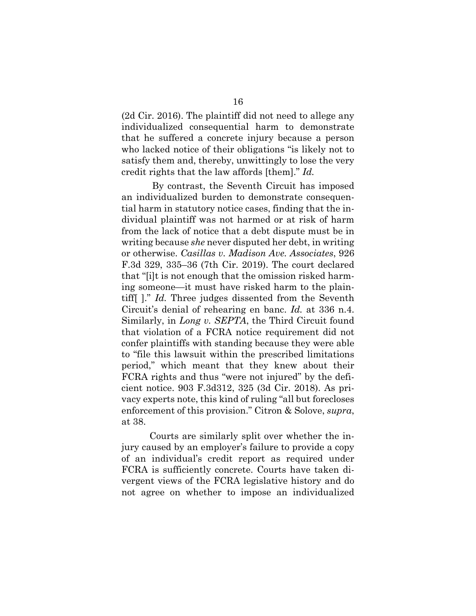(2d Cir. 2016). The plaintiff did not need to allege any individualized consequential harm to demonstrate that he suffered a concrete injury because a person who lacked notice of their obligations "is likely not to satisfy them and, thereby, unwittingly to lose the very credit rights that the law affords [them]." *Id.*

By contrast, the Seventh Circuit has imposed an individualized burden to demonstrate consequential harm in statutory notice cases, finding that the individual plaintiff was not harmed or at risk of harm from the lack of notice that a debt dispute must be in writing because *she* never disputed her debt, in writing or otherwise. *Casillas v. Madison Ave. Associates*, 926 F.3d 329, 335–36 (7th Cir. 2019). The court declared that "[i]t is not enough that the omission risked harming someone—it must have risked harm to the plaintiff[ ]." *Id.* Three judges dissented from the Seventh Circuit's denial of rehearing en banc. *Id.* at 336 n.4. Similarly, in *Long v. SEPTA*, the Third Circuit found that violation of a FCRA notice requirement did not confer plaintiffs with standing because they were able to "file this lawsuit within the prescribed limitations period," which meant that they knew about their FCRA rights and thus "were not injured" by the deficient notice. 903 F.3d312, 325 (3d Cir. 2018). As privacy experts note, this kind of ruling "all but forecloses enforcement of this provision." Citron & Solove, *supra*, at 38.

Courts are similarly split over whether the injury caused by an employer's failure to provide a copy of an individual's credit report as required under FCRA is sufficiently concrete. Courts have taken divergent views of the FCRA legislative history and do not agree on whether to impose an individualized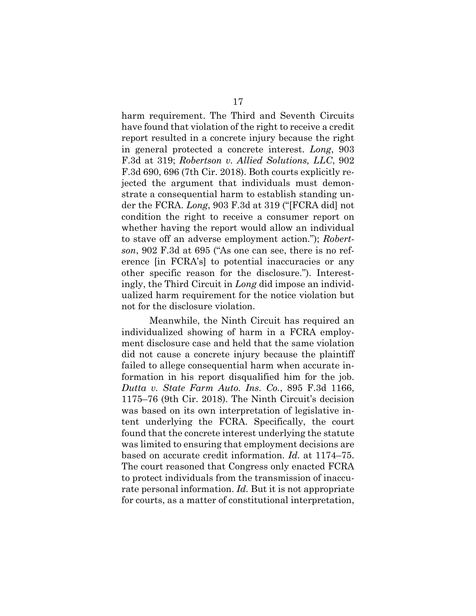harm requirement. The Third and Seventh Circuits have found that violation of the right to receive a credit report resulted in a concrete injury because the right in general protected a concrete interest. *Long*, 903 F.3d at 319; *Robertson v. Allied Solutions, LLC*, 902 F.3d 690, 696 (7th Cir. 2018). Both courts explicitly rejected the argument that individuals must demonstrate a consequential harm to establish standing under the FCRA. *Long*, 903 F.3d at 319 ("[FCRA did] not condition the right to receive a consumer report on whether having the report would allow an individual to stave off an adverse employment action."); *Robertson*, 902 F.3d at 695 ("As one can see, there is no reference [in FCRA's] to potential inaccuracies or any other specific reason for the disclosure."). Interestingly, the Third Circuit in *Long* did impose an individualized harm requirement for the notice violation but not for the disclosure violation.

Meanwhile, the Ninth Circuit has required an individualized showing of harm in a FCRA employment disclosure case and held that the same violation did not cause a concrete injury because the plaintiff failed to allege consequential harm when accurate information in his report disqualified him for the job. *Dutta v. State Farm Auto. Ins. Co.*, 895 F.3d 1166, 1175–76 (9th Cir. 2018). The Ninth Circuit's decision was based on its own interpretation of legislative intent underlying the FCRA. Specifically, the court found that the concrete interest underlying the statute was limited to ensuring that employment decisions are based on accurate credit information. *Id.* at 1174–75. The court reasoned that Congress only enacted FCRA to protect individuals from the transmission of inaccurate personal information. *Id.* But it is not appropriate for courts, as a matter of constitutional interpretation,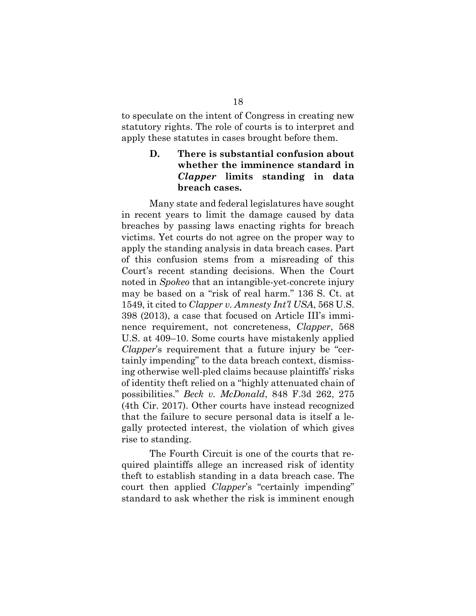to speculate on the intent of Congress in creating new statutory rights. The role of courts is to interpret and apply these statutes in cases brought before them.

## **D. There is substantial confusion about whether the imminence standard in**  *Clapper* **limits standing in data breach cases.**

Many state and federal legislatures have sought in recent years to limit the damage caused by data breaches by passing laws enacting rights for breach victims. Yet courts do not agree on the proper way to apply the standing analysis in data breach cases. Part of this confusion stems from a misreading of this Court's recent standing decisions. When the Court noted in *Spokeo* that an intangible-yet-concrete injury may be based on a "risk of real harm." 136 S. Ct. at 1549, it cited to *Clapper v. Amnesty Int'l USA*, 568 U.S. 398 (2013), a case that focused on Article III's imminence requirement, not concreteness, *Clapper*, 568 U.S. at 409–10. Some courts have mistakenly applied *Clapper*'s requirement that a future injury be "certainly impending" to the data breach context, dismissing otherwise well-pled claims because plaintiffs' risks of identity theft relied on a "highly attenuated chain of possibilities." *Beck v. McDonald*, 848 F.3d 262, 275 (4th Cir. 2017). Other courts have instead recognized that the failure to secure personal data is itself a legally protected interest, the violation of which gives rise to standing.

The Fourth Circuit is one of the courts that required plaintiffs allege an increased risk of identity theft to establish standing in a data breach case. The court then applied *Clapper*'s "certainly impending" standard to ask whether the risk is imminent enough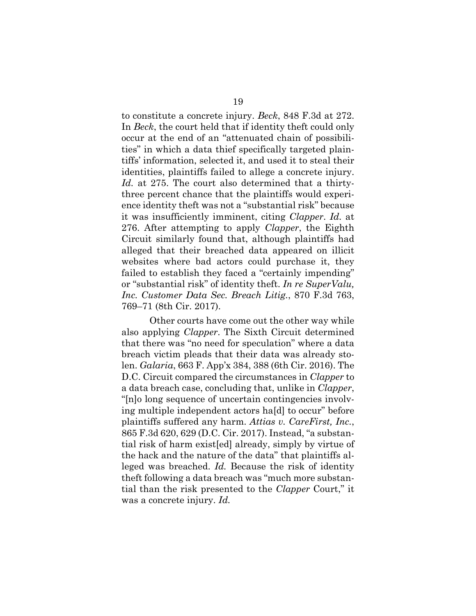to constitute a concrete injury. *Beck*, 848 F.3d at 272. In *Beck*, the court held that if identity theft could only occur at the end of an "attenuated chain of possibilities" in which a data thief specifically targeted plaintiffs' information, selected it, and used it to steal their identities, plaintiffs failed to allege a concrete injury. *Id.* at 275. The court also determined that a thirtythree percent chance that the plaintiffs would experience identity theft was not a "substantial risk" because it was insufficiently imminent, citing *Clapper*. *Id.* at 276. After attempting to apply *Clapper*, the Eighth Circuit similarly found that, although plaintiffs had alleged that their breached data appeared on illicit websites where bad actors could purchase it, they failed to establish they faced a "certainly impending" or "substantial risk" of identity theft. *In re SuperValu, Inc. Customer Data Sec. Breach Litig.*, 870 F.3d 763, 769–71 (8th Cir. 2017).

Other courts have come out the other way while also applying *Clapper*. The Sixth Circuit determined that there was "no need for speculation" where a data breach victim pleads that their data was already stolen. *Galaria*, 663 F. App'x 384, 388 (6th Cir. 2016). The D.C. Circuit compared the circumstances in *Clapper* to a data breach case, concluding that, unlike in *Clapper*, "[n]o long sequence of uncertain contingencies involving multiple independent actors ha[d] to occur" before plaintiffs suffered any harm. *Attias v. CareFirst, Inc.*, 865 F.3d 620, 629 (D.C. Cir. 2017). Instead, "a substantial risk of harm exist[ed] already, simply by virtue of the hack and the nature of the data" that plaintiffs alleged was breached. *Id.* Because the risk of identity theft following a data breach was "much more substantial than the risk presented to the *Clapper* Court," it was a concrete injury. *Id.*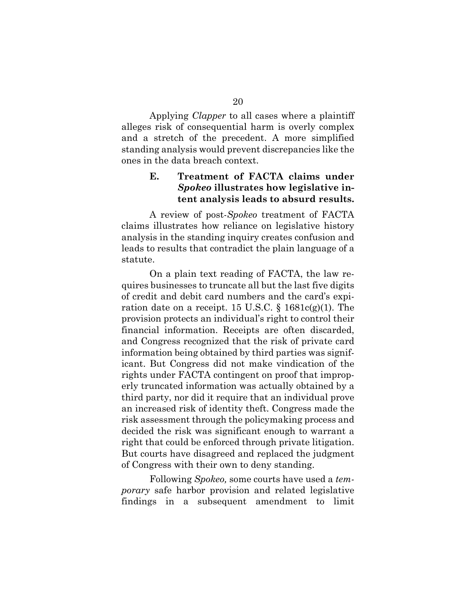Applying *Clapper* to all cases where a plaintiff alleges risk of consequential harm is overly complex and a stretch of the precedent. A more simplified standing analysis would prevent discrepancies like the ones in the data breach context.

## **E. Treatment of FACTA claims under** *Spokeo* **illustrates how legislative intent analysis leads to absurd results.**

A review of post-*Spokeo* treatment of FACTA claims illustrates how reliance on legislative history analysis in the standing inquiry creates confusion and leads to results that contradict the plain language of a statute.

On a plain text reading of FACTA, the law requires businesses to truncate all but the last five digits of credit and debit card numbers and the card's expiration date on a receipt. 15 U.S.C.  $\S$  1681c(g)(1). The provision protects an individual's right to control their financial information. Receipts are often discarded, and Congress recognized that the risk of private card information being obtained by third parties was significant. But Congress did not make vindication of the rights under FACTA contingent on proof that improperly truncated information was actually obtained by a third party, nor did it require that an individual prove an increased risk of identity theft. Congress made the risk assessment through the policymaking process and decided the risk was significant enough to warrant a right that could be enforced through private litigation. But courts have disagreed and replaced the judgment of Congress with their own to deny standing.

Following *Spokeo,* some courts have used a *temporary* safe harbor provision and related legislative findings in a subsequent amendment to limit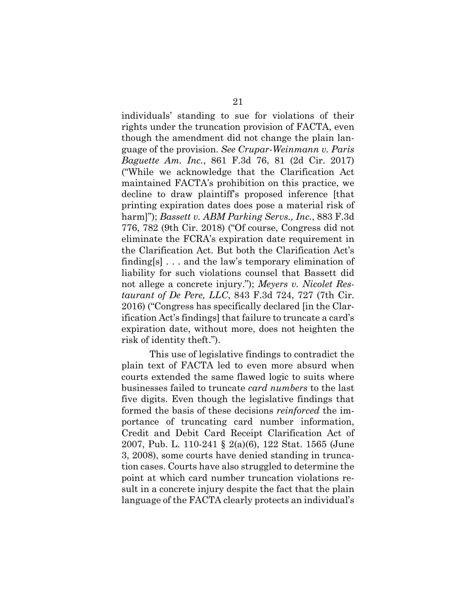individuals' standing to sue for violations of their rights under the truncation provision of FACTA, even though the amendment did not change the plain language of the provision. *See Crupar-Weinmann v. Paris Baguette Am. Inc.*, 861 F.3d 76, 81 (2d Cir. 2017) ("While we acknowledge that the Clarification Act maintained FACTA's prohibition on this practice, we decline to draw plaintiff's proposed inference [that printing expiration dates does pose a material risk of harm]"); *Bassett v. ABM Parking Servs., Inc.*, 883 F.3d 776, 782 (9th Cir. 2018) ("Of course, Congress did not eliminate the FCRA's expiration date requirement in the Clarification Act. But both the Clarification Act's finding[s] . . . and the law's temporary elimination of liability for such violations counsel that Bassett did not allege a concrete injury."); *Meyers v. Nicolet Restaurant of De Pere, LLC*, 843 F.3d 724, 727 (7th Cir. 2016) ("Congress has specifically declared [in the Clarification Act's findings] that failure to truncate a card's expiration date, without more, does not heighten the risk of identity theft.").

This use of legislative findings to contradict the plain text of FACTA led to even more absurd when courts extended the same flawed logic to suits where businesses failed to truncate *card numbers* to the last five digits. Even though the legislative findings that formed the basis of these decisions *reinforced* the importance of truncating card number information, Credit and Debit Card Receipt Clarification Act of 2007, Pub. L. 110-241 § 2(a)(6), 122 Stat. 1565 (June 3, 2008), some courts have denied standing in truncation cases. Courts have also struggled to determine the point at which card number truncation violations result in a concrete injury despite the fact that the plain language of the FACTA clearly protects an individual's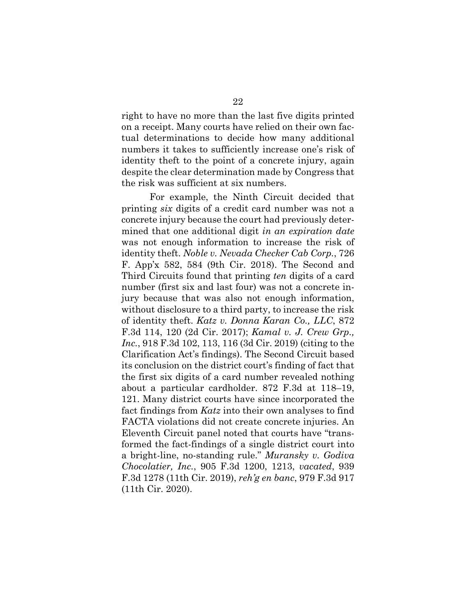right to have no more than the last five digits printed on a receipt. Many courts have relied on their own factual determinations to decide how many additional numbers it takes to sufficiently increase one's risk of identity theft to the point of a concrete injury, again despite the clear determination made by Congress that the risk was sufficient at six numbers.

For example, the Ninth Circuit decided that printing *six* digits of a credit card number was not a concrete injury because the court had previously determined that one additional digit *in an expiration date* was not enough information to increase the risk of identity theft. *Noble v. Nevada Checker Cab Corp.*, 726 F. App'x 582, 584 (9th Cir. 2018). The Second and Third Circuits found that printing *ten* digits of a card number (first six and last four) was not a concrete injury because that was also not enough information, without disclosure to a third party, to increase the risk of identity theft. *Katz v. Donna Karan Co., LLC*, 872 F.3d 114, 120 (2d Cir. 2017); *Kamal v. J. Crew Grp., Inc.*, 918 F.3d 102, 113, 116 (3d Cir. 2019) (citing to the Clarification Act's findings). The Second Circuit based its conclusion on the district court's finding of fact that the first six digits of a card number revealed nothing about a particular cardholder. 872 F.3d at 118–19, 121. Many district courts have since incorporated the fact findings from *Katz* into their own analyses to find FACTA violations did not create concrete injuries. An Eleventh Circuit panel noted that courts have "transformed the fact-findings of a single district court into a bright-line, no-standing rule." *Muransky v. Godiva Chocolatier, Inc.*, 905 F.3d 1200, 1213, *vacated*, 939 F.3d 1278 (11th Cir. 2019), *reh'g en banc*, 979 F.3d 917 (11th Cir. 2020).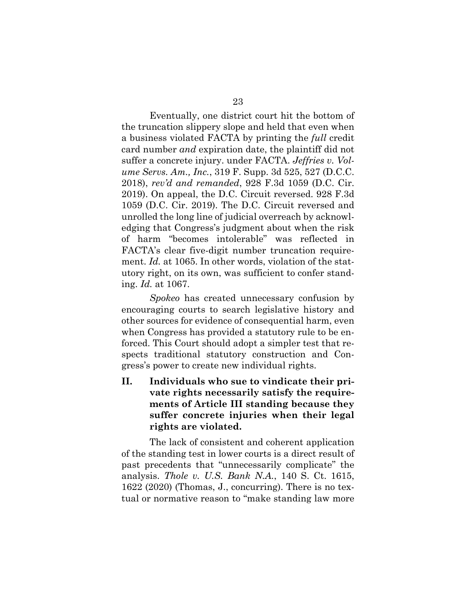Eventually, one district court hit the bottom of the truncation slippery slope and held that even when a business violated FACTA by printing the *full* credit card number *and* expiration date, the plaintiff did not suffer a concrete injury. under FACTA. *Jeffries v. Volume Servs. Am., Inc.*, 319 F. Supp. 3d 525, 527 (D.C.C. 2018), *rev'd and remanded*, 928 F.3d 1059 (D.C. Cir. 2019). On appeal, the D.C. Circuit reversed. 928 F.3d 1059 (D.C. Cir. 2019). The D.C. Circuit reversed and unrolled the long line of judicial overreach by acknowledging that Congress's judgment about when the risk of harm "becomes intolerable" was reflected in FACTA's clear five-digit number truncation requirement. *Id.* at 1065. In other words, violation of the statutory right, on its own, was sufficient to confer standing. *Id.* at 1067.

*Spokeo* has created unnecessary confusion by encouraging courts to search legislative history and other sources for evidence of consequential harm, even when Congress has provided a statutory rule to be enforced. This Court should adopt a simpler test that respects traditional statutory construction and Congress's power to create new individual rights.

**II. Individuals who sue to vindicate their private rights necessarily satisfy the requirements of Article III standing because they suffer concrete injuries when their legal rights are violated.**

The lack of consistent and coherent application of the standing test in lower courts is a direct result of past precedents that "unnecessarily complicate" the analysis. *Thole v. U.S. Bank N.A.*, 140 S. Ct. 1615, 1622 (2020) (Thomas, J., concurring). There is no textual or normative reason to "make standing law more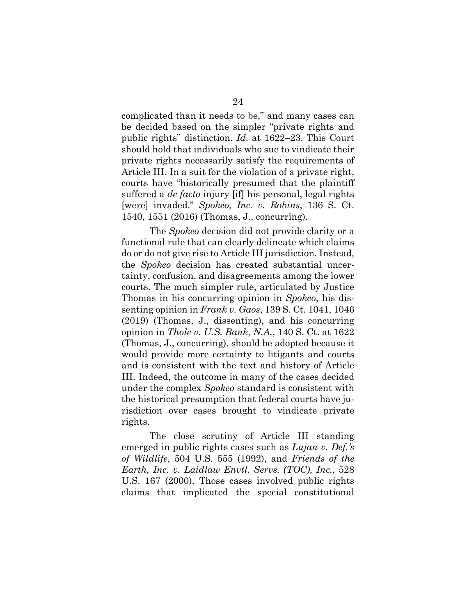complicated than it needs to be," and many cases can be decided based on the simpler "private rights and public rights" distinction. *Id*. at 1622–23. This Court should hold that individuals who sue to vindicate their private rights necessarily satisfy the requirements of Article III. In a suit for the violation of a private right, courts have "historically presumed that the plaintiff suffered a *de facto* injury [if] his personal, legal rights [were] invaded." *Spokeo, Inc. v. Robins*, 136 S. Ct. 1540, 1551 (2016) (Thomas, J., concurring).

The *Spokeo* decision did not provide clarity or a functional rule that can clearly delineate which claims do or do not give rise to Article III jurisdiction. Instead, the *Spokeo* decision has created substantial uncertainty, confusion, and disagreements among the lower courts. The much simpler rule, articulated by Justice Thomas in his concurring opinion in *Spokeo*, his dissenting opinion in *Frank v. Gaos*, 139 S. Ct. 1041, 1046 (2019) (Thomas, J., dissenting), and his concurring opinion in *Thole v. U.S. Bank, N.A.*, 140 S. Ct. at 1622 (Thomas, J., concurring), should be adopted because it would provide more certainty to litigants and courts and is consistent with the text and history of Article III. Indeed, the outcome in many of the cases decided under the complex *Spokeo* standard is consistent with the historical presumption that federal courts have jurisdiction over cases brought to vindicate private rights.

The close scrutiny of Article III standing emerged in public rights cases such as *Lujan v. Def.'s of Wildlife*, 504 U.S. 555 (1992), and *Friends of the Earth, Inc. v. Laidlaw Envtl. Servs. (TOC), Inc.*, 528 U.S. 167 (2000). Those cases involved public rights claims that implicated the special constitutional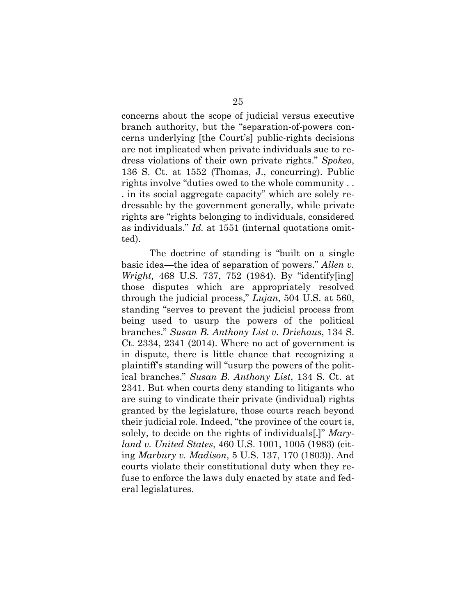concerns about the scope of judicial versus executive branch authority, but the "separation-of-powers concerns underlying [the Court's] public-rights decisions are not implicated when private individuals sue to redress violations of their own private rights." *Spokeo*, 136 S. Ct. at 1552 (Thomas, J., concurring). Public rights involve "duties owed to the whole community . . . in its social aggregate capacity" which are solely redressable by the government generally, while private rights are "rights belonging to individuals, considered as individuals." *Id.* at 1551 (internal quotations omitted).

The doctrine of standing is "built on a single basic idea—the idea of separation of powers." *Allen v. Wright,* 468 U.S. 737, 752 (1984). By "identify[ing] those disputes which are appropriately resolved through the judicial process," *Lujan*, 504 U.S. at 560, standing "serves to prevent the judicial process from being used to usurp the powers of the political branches." *Susan B. Anthony List v. Driehaus*, 134 S. Ct. 2334, 2341 (2014). Where no act of government is in dispute, there is little chance that recognizing a plaintiff's standing will "usurp the powers of the political branches." *Susan B. Anthony List*, 134 S. Ct. at 2341. But when courts deny standing to litigants who are suing to vindicate their private (individual) rights granted by the legislature, those courts reach beyond their judicial role. Indeed, "the province of the court is, solely, to decide on the rights of individuals[.]" *Maryland v. United States*, 460 U.S. 1001, 1005 (1983) (citing *Marbury v. Madison*, 5 U.S. 137, 170 (1803)). And courts violate their constitutional duty when they refuse to enforce the laws duly enacted by state and federal legislatures.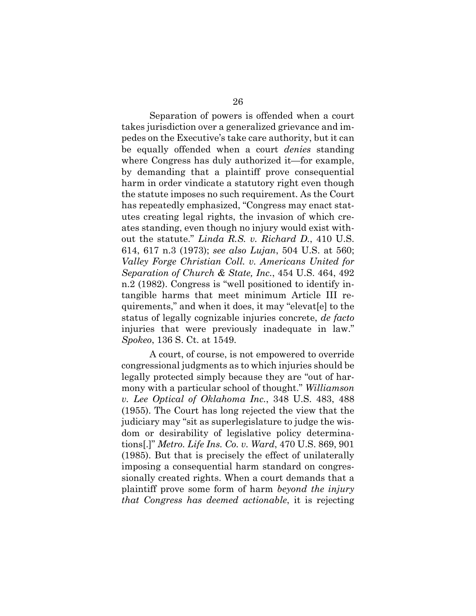Separation of powers is offended when a court takes jurisdiction over a generalized grievance and impedes on the Executive's take care authority, but it can be equally offended when a court *denies* standing where Congress has duly authorized it—for example, by demanding that a plaintiff prove consequential harm in order vindicate a statutory right even though the statute imposes no such requirement. As the Court has repeatedly emphasized, "Congress may enact statutes creating legal rights, the invasion of which creates standing, even though no injury would exist without the statute." *Linda R.S. v. Richard D.*, 410 U.S. 614, 617 n.3 (1973); *see also Lujan*, 504 U.S. at 560; *Valley Forge Christian Coll. v. Americans United for Separation of Church & State, Inc.*, 454 U.S. 464, 492 n.2 (1982). Congress is "well positioned to identify intangible harms that meet minimum Article III requirements," and when it does, it may "elevat[e] to the status of legally cognizable injuries concrete, *de facto* injuries that were previously inadequate in law." *Spokeo*, 136 S. Ct. at 1549.

A court, of course, is not empowered to override congressional judgments as to which injuries should be legally protected simply because they are "out of harmony with a particular school of thought." *Williamson v. Lee Optical of Oklahoma Inc.*, 348 U.S. 483, 488 (1955). The Court has long rejected the view that the judiciary may "sit as superlegislature to judge the wisdom or desirability of legislative policy determinations[.]" *Metro. Life Ins. Co. v. Ward*, 470 U.S. 869, 901 (1985). But that is precisely the effect of unilaterally imposing a consequential harm standard on congressionally created rights. When a court demands that a plaintiff prove some form of harm *beyond the injury that Congress has deemed actionable*, it is rejecting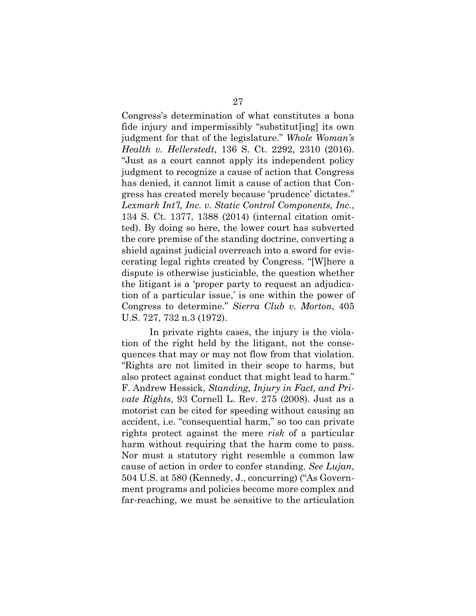Congress's determination of what constitutes a bona fide injury and impermissibly "substitut[ing] its own judgment for that of the legislature." *Whole Woman's Health v. Hellerstedt*, 136 S. Ct. 2292, 2310 (2016). "Just as a court cannot apply its independent policy judgment to recognize a cause of action that Congress has denied, it cannot limit a cause of action that Congress has created merely because 'prudence' dictates." *Lexmark Int'l, Inc. v. Static Control Components, Inc.*, 134 S. Ct. 1377, 1388 (2014) (internal citation omitted). By doing so here, the lower court has subverted the core premise of the standing doctrine, converting a shield against judicial overreach into a sword for eviscerating legal rights created by Congress. "[W]here a dispute is otherwise justiciable, the question whether the litigant is a 'proper party to request an adjudication of a particular issue,' is one within the power of Congress to determine." *Sierra Club v. Morton*, 405 U.S. 727, 732 n.3 (1972).

In private rights cases, the injury is the violation of the right held by the litigant, not the consequences that may or may not flow from that violation. "Rights are not limited in their scope to harms, but also protect against conduct that might lead to harm." F. Andrew Hessick, *Standing, Injury in Fact, and Private Rights*, 93 Cornell L. Rev. 275 (2008). Just as a motorist can be cited for speeding without causing an accident, i.e. "consequential harm," so too can private rights protect against the mere *risk* of a particular harm without requiring that the harm come to pass. Nor must a statutory right resemble a common law cause of action in order to confer standing. *See Lujan*, 504 U.S. at 580 (Kennedy, J., concurring) ("As Government programs and policies become more complex and far-reaching, we must be sensitive to the articulation